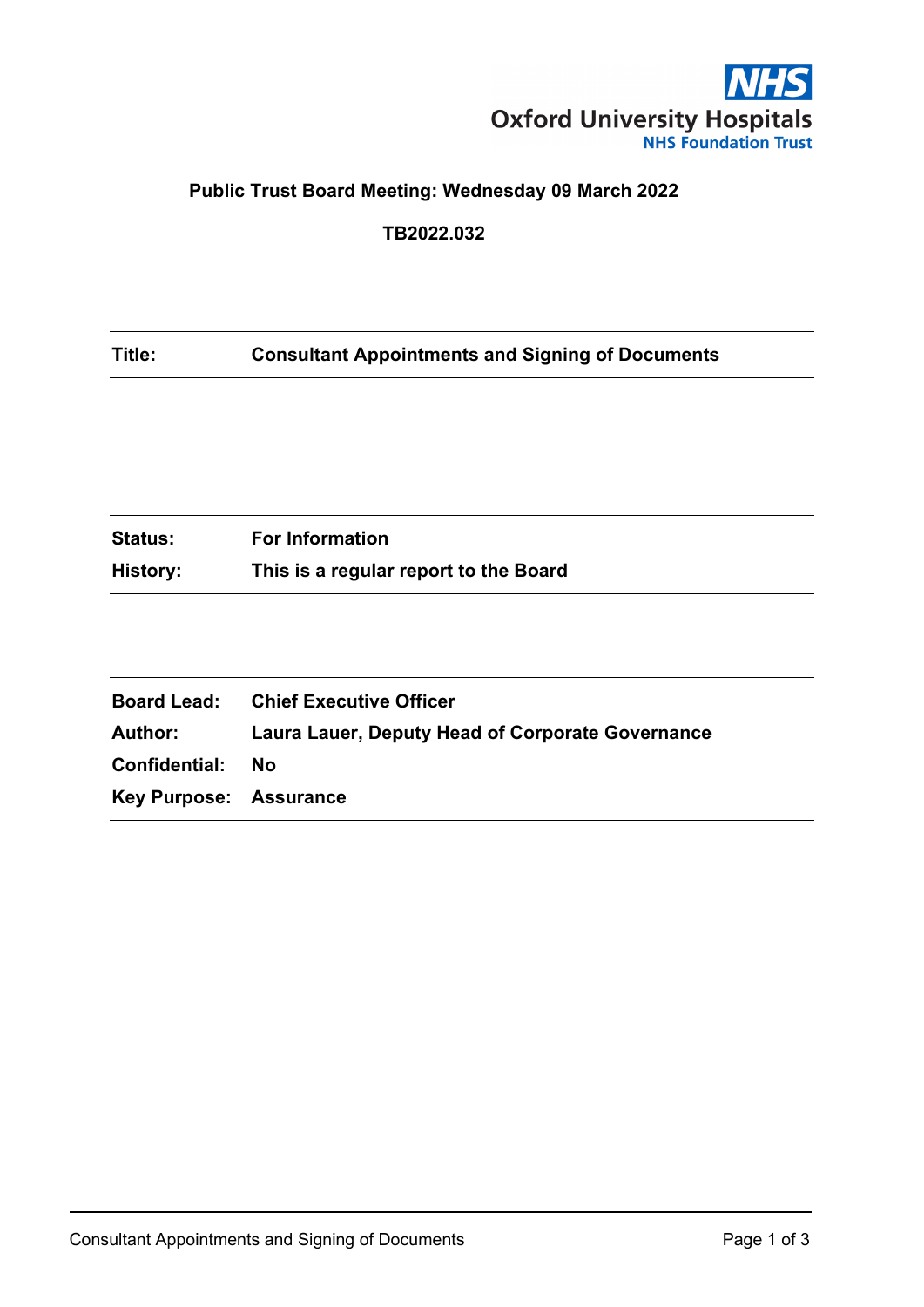

# **Public Trust Board Meeting: Wednesday 09 March 2022**

#### **TB2022.032**

#### **Title: Consultant Appointments and Signing of Documents**

| <b>Status:</b> | <b>For Information</b>                |
|----------------|---------------------------------------|
| History:       | This is a regular report to the Board |

|                               | <b>Board Lead:</b> Chief Executive Officer              |
|-------------------------------|---------------------------------------------------------|
| Author:                       | <b>Laura Lauer, Deputy Head of Corporate Governance</b> |
| Confidential:                 | - No                                                    |
| <b>Key Purpose: Assurance</b> |                                                         |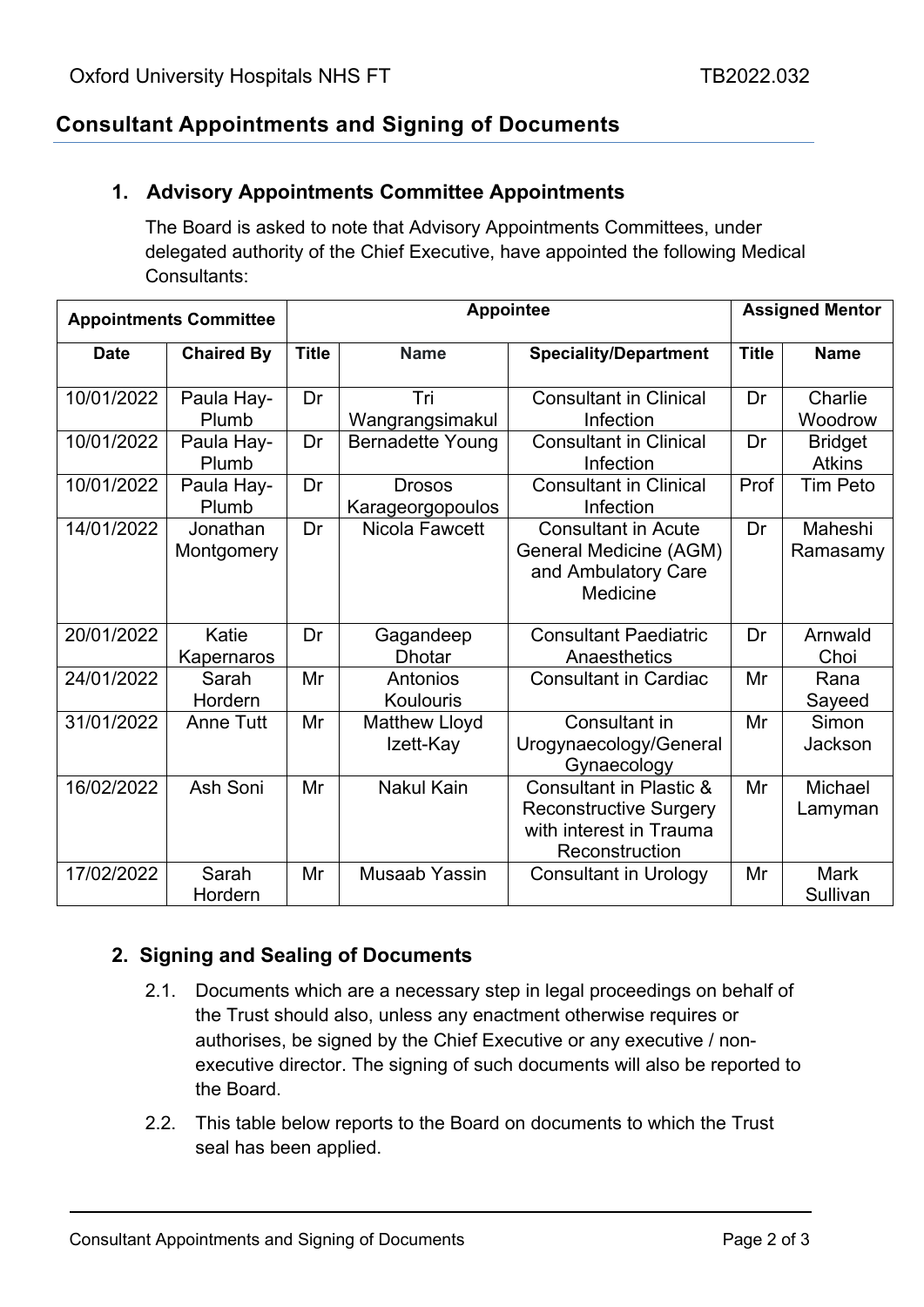# **Consultant Appointments and Signing of Documents**

#### **1. Advisory Appointments Committee Appointments**

The Board is asked to note that Advisory Appointments Committees, under delegated authority of the Chief Executive, have appointed the following Medical Consultants:

| <b>Appointments Committee</b> |                        | <b>Appointee</b> |                                   |                                                                                                                  | <b>Assigned Mentor</b> |                                 |
|-------------------------------|------------------------|------------------|-----------------------------------|------------------------------------------------------------------------------------------------------------------|------------------------|---------------------------------|
| <b>Date</b>                   | <b>Chaired By</b>      | <b>Title</b>     | <b>Name</b>                       | <b>Speciality/Department</b>                                                                                     | <b>Title</b>           | <b>Name</b>                     |
| 10/01/2022                    | Paula Hay-<br>Plumb    | Dr               | Tri<br>Wangrangsimakul            | <b>Consultant in Clinical</b><br>Infection                                                                       | Dr                     | Charlie<br>Woodrow              |
| 10/01/2022                    | Paula Hay-<br>Plumb    | Dr               | <b>Bernadette Young</b>           | <b>Consultant in Clinical</b><br>Infection                                                                       | Dr                     | <b>Bridget</b><br><b>Atkins</b> |
| 10/01/2022                    | Paula Hay-<br>Plumb    | Dr               | <b>Drosos</b><br>Karageorgopoulos | <b>Consultant in Clinical</b><br>Infection                                                                       | Prof                   | <b>Tim Peto</b>                 |
| 14/01/2022                    | Jonathan<br>Montgomery | Dr               | Nicola Fawcett                    | <b>Consultant in Acute</b><br><b>General Medicine (AGM)</b><br>and Ambulatory Care<br>Medicine                   | Dr                     | Maheshi<br>Ramasamy             |
| 20/01/2022                    | Katie<br>Kapernaros    | Dr               | Gagandeep<br><b>Dhotar</b>        | <b>Consultant Paediatric</b><br>Anaesthetics                                                                     | Dr                     | Arnwald<br>Choi                 |
| 24/01/2022                    | Sarah<br>Hordern       | Mr               | Antonios<br>Koulouris             | <b>Consultant in Cardiac</b>                                                                                     | Mr                     | Rana<br>Sayeed                  |
| 31/01/2022                    | <b>Anne Tutt</b>       | Mr               | <b>Matthew Lloyd</b><br>Izett-Kay | Consultant in<br>Urogynaecology/General<br>Gynaecology                                                           | Mr                     | Simon<br>Jackson                |
| 16/02/2022                    | Ash Soni               | Mr               | <b>Nakul Kain</b>                 | <b>Consultant in Plastic &amp;</b><br><b>Reconstructive Surgery</b><br>with interest in Trauma<br>Reconstruction | Mr                     | Michael<br>Lamyman              |
| 17/02/2022                    | Sarah<br>Hordern       | Mr               | Musaab Yassin                     | <b>Consultant in Urology</b>                                                                                     | Mr                     | <b>Mark</b><br>Sullivan         |

### **2. Signing and Sealing of Documents**

- 2.1. Documents which are a necessary step in legal proceedings on behalf of the Trust should also, unless any enactment otherwise requires or authorises, be signed by the Chief Executive or any executive / nonexecutive director. The signing of such documents will also be reported to the Board.
- 2.2. This table below reports to the Board on documents to which the Trust seal has been applied.